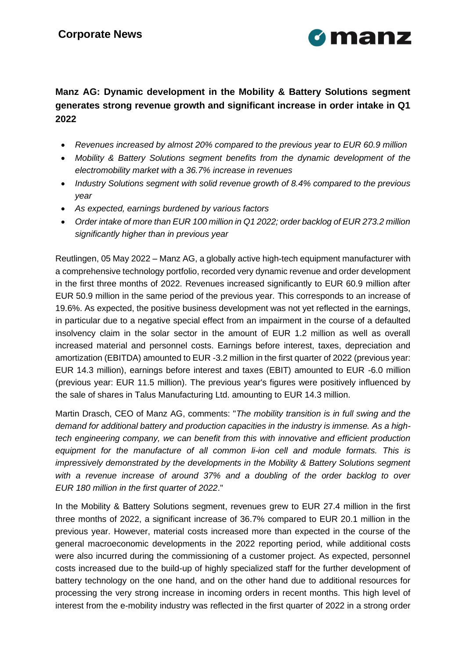

# **Manz AG: Dynamic development in the Mobility & Battery Solutions segment generates strong revenue growth and significant increase in order intake in Q1 2022**

- *Revenues increased by almost 20% compared to the previous year to EUR 60.9 million*
- *Mobility & Battery Solutions segment benefits from the dynamic development of the electromobility market with a 36.7% increase in revenues*
- *Industry Solutions segment with solid revenue growth of 8.4% compared to the previous year*
- *As expected, earnings burdened by various factors*
- *Order intake of more than EUR 100 million in Q1 2022; order backlog of EUR 273.2 million significantly higher than in previous year*

Reutlingen, 05 May 2022 – Manz AG, a globally active high-tech equipment manufacturer with a comprehensive technology portfolio, recorded very dynamic revenue and order development in the first three months of 2022. Revenues increased significantly to EUR 60.9 million after EUR 50.9 million in the same period of the previous year. This corresponds to an increase of 19.6%. As expected, the positive business development was not yet reflected in the earnings, in particular due to a negative special effect from an impairment in the course of a defaulted insolvency claim in the solar sector in the amount of EUR 1.2 million as well as overall increased material and personnel costs. Earnings before interest, taxes, depreciation and amortization (EBITDA) amounted to EUR -3.2 million in the first quarter of 2022 (previous year: EUR 14.3 million), earnings before interest and taxes (EBIT) amounted to EUR -6.0 million (previous year: EUR 11.5 million). The previous year's figures were positively influenced by the sale of shares in Talus Manufacturing Ltd. amounting to EUR 14.3 million.

Martin Drasch, CEO of Manz AG, comments: "*The mobility transition is in full swing and the demand for additional battery and production capacities in the industry is immense. As a hightech engineering company, we can benefit from this with innovative and efficient production*  equipment for the manufacture of all common li-ion cell and module formats. This is *impressively demonstrated by the developments in the Mobility & Battery Solutions segment with a revenue increase of around 37% and a doubling of the order backlog to over EUR 180 million in the first quarter of 2022*."

In the Mobility & Battery Solutions segment, revenues grew to EUR 27.4 million in the first three months of 2022, a significant increase of 36.7% compared to EUR 20.1 million in the previous year. However, material costs increased more than expected in the course of the general macroeconomic developments in the 2022 reporting period, while additional costs were also incurred during the commissioning of a customer project. As expected, personnel costs increased due to the build-up of highly specialized staff for the further development of battery technology on the one hand, and on the other hand due to additional resources for processing the very strong increase in incoming orders in recent months. This high level of interest from the e-mobility industry was reflected in the first quarter of 2022 in a strong order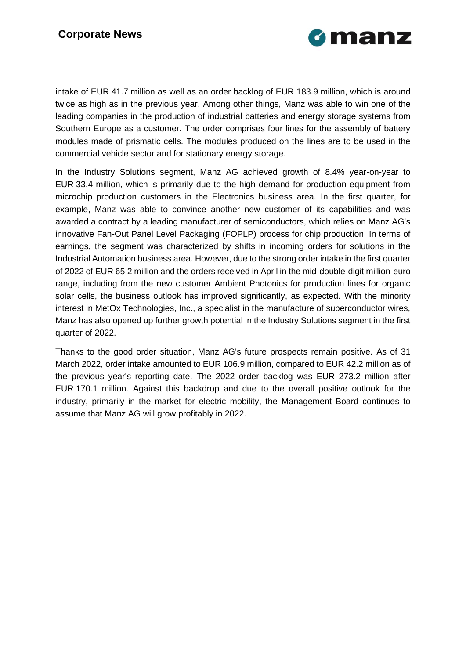

intake of EUR 41.7 million as well as an order backlog of EUR 183.9 million, which is around twice as high as in the previous year. Among other things, Manz was able to win one of the leading companies in the production of industrial batteries and energy storage systems from Southern Europe as a customer. The order comprises four lines for the assembly of battery modules made of prismatic cells. The modules produced on the lines are to be used in the commercial vehicle sector and for stationary energy storage.

In the Industry Solutions segment, Manz AG achieved growth of 8.4% year-on-year to EUR 33.4 million, which is primarily due to the high demand for production equipment from microchip production customers in the Electronics business area. In the first quarter, for example, Manz was able to convince another new customer of its capabilities and was awarded a contract by a leading manufacturer of semiconductors, which relies on Manz AG's innovative Fan-Out Panel Level Packaging (FOPLP) process for chip production. In terms of earnings, the segment was characterized by shifts in incoming orders for solutions in the Industrial Automation business area. However, due to the strong order intake in the first quarter of 2022 of EUR 65.2 million and the orders received in April in the mid-double-digit million-euro range, including from the new customer Ambient Photonics for production lines for organic solar cells, the business outlook has improved significantly, as expected. With the minority interest in MetOx Technologies, Inc., a specialist in the manufacture of superconductor wires, Manz has also opened up further growth potential in the Industry Solutions segment in the first quarter of 2022.

Thanks to the good order situation, Manz AG's future prospects remain positive. As of 31 March 2022, order intake amounted to EUR 106.9 million, compared to EUR 42.2 million as of the previous year's reporting date. The 2022 order backlog was EUR 273.2 million after EUR 170.1 million. Against this backdrop and due to the overall positive outlook for the industry, primarily in the market for electric mobility, the Management Board continues to assume that Manz AG will grow profitably in 2022.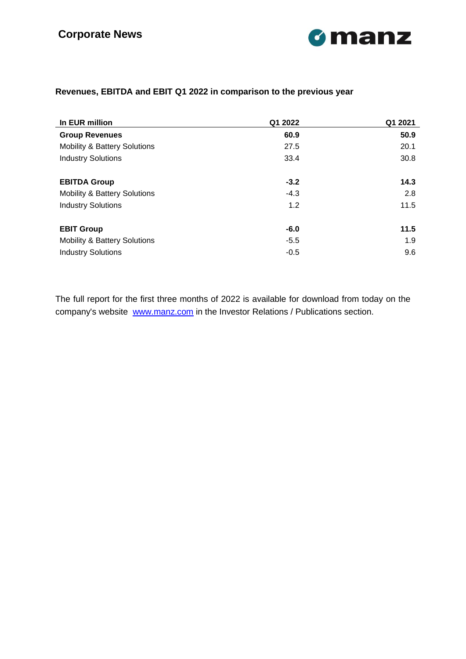

### **Revenues, EBITDA and EBIT Q1 2022 in comparison to the previous year**

| In EUR million                          | Q1 2022 | Q1 2021 |
|-----------------------------------------|---------|---------|
| <b>Group Revenues</b>                   | 60.9    | 50.9    |
| <b>Mobility &amp; Battery Solutions</b> | 27.5    | 20.1    |
| <b>Industry Solutions</b>               | 33.4    | 30.8    |
| <b>EBITDA Group</b>                     | $-3.2$  | 14.3    |
| <b>Mobility &amp; Battery Solutions</b> | $-4.3$  | 2.8     |
| <b>Industry Solutions</b>               | 1.2     | 11.5    |
| <b>EBIT Group</b>                       | $-6.0$  | 11.5    |
| <b>Mobility &amp; Battery Solutions</b> | $-5.5$  | 1.9     |
| <b>Industry Solutions</b>               | $-0.5$  | 9.6     |

The full report for the first three months of 2022 is available for download from today on the company's website [www.manz.com](https://eqs-cockpit.com/cgi-bin/fncls.ssp?fn=redirect&url=4e8c18068fc4efe648347bc39a995bba&application_id=1035535&site_id=news_data&application_name=news) in the Investor Relations / Publications section.